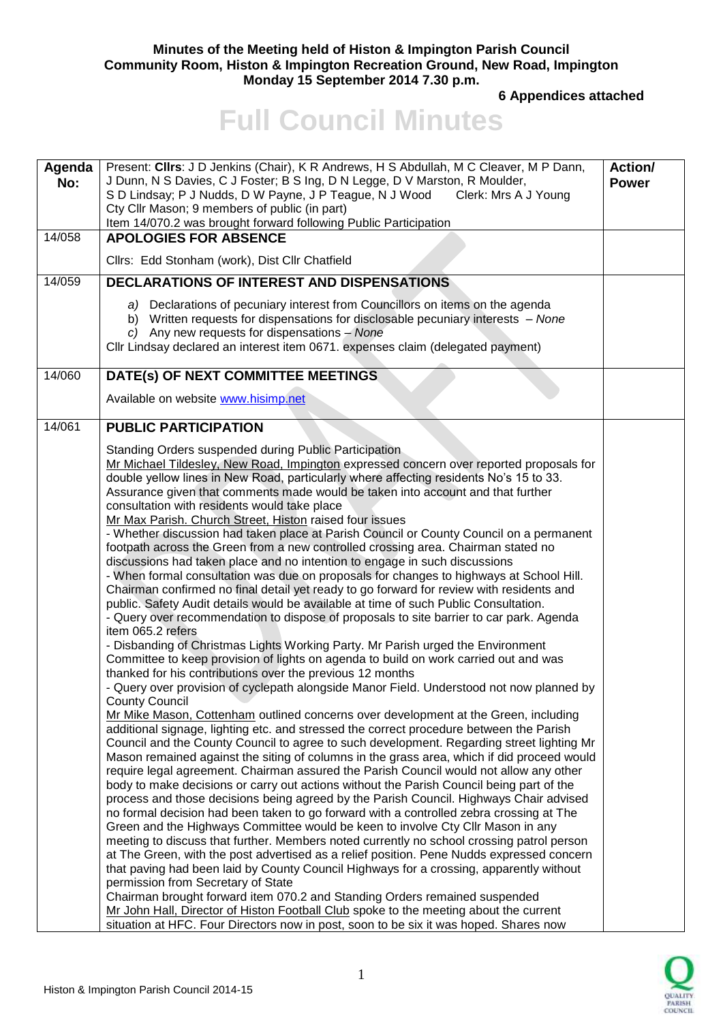### **Minutes of the Meeting held of Histon & Impington Parish Council Community Room, Histon & Impington Recreation Ground, New Road, Impington Monday 15 September 2014 7.30 p.m.**

**6 Appendices attached** 

# **Full Council Minutes**

| Agenda<br>No: | Present: Cllrs: J D Jenkins (Chair), K R Andrews, H S Abdullah, M C Cleaver, M P Dann,<br>J Dunn, N S Davies, C J Foster; B S Ing, D N Legge, D V Marston, R Moulder,<br>S D Lindsay; P J Nudds, D W Payne, J P Teague, N J Wood<br>Clerk: Mrs A J Young<br>Cty Cllr Mason; 9 members of public (in part)<br>Item 14/070.2 was brought forward following Public Participation                                                                                                                                                                                                                                                                                                                                                                                                                                                                                                                                                                                                                                                                                                                                                                                                                                                                                                                                                                                                                                                                                                                                                                                                                                                                                                                                                                                                                                                                                                                                                                                                                                                                                                                                                                                                                                                                                                                                                                                                                                                                                                                                                                                                                      | <b>Action/</b><br><b>Power</b> |  |
|---------------|----------------------------------------------------------------------------------------------------------------------------------------------------------------------------------------------------------------------------------------------------------------------------------------------------------------------------------------------------------------------------------------------------------------------------------------------------------------------------------------------------------------------------------------------------------------------------------------------------------------------------------------------------------------------------------------------------------------------------------------------------------------------------------------------------------------------------------------------------------------------------------------------------------------------------------------------------------------------------------------------------------------------------------------------------------------------------------------------------------------------------------------------------------------------------------------------------------------------------------------------------------------------------------------------------------------------------------------------------------------------------------------------------------------------------------------------------------------------------------------------------------------------------------------------------------------------------------------------------------------------------------------------------------------------------------------------------------------------------------------------------------------------------------------------------------------------------------------------------------------------------------------------------------------------------------------------------------------------------------------------------------------------------------------------------------------------------------------------------------------------------------------------------------------------------------------------------------------------------------------------------------------------------------------------------------------------------------------------------------------------------------------------------------------------------------------------------------------------------------------------------------------------------------------------------------------------------------------------------|--------------------------------|--|
| 14/058        | <b>APOLOGIES FOR ABSENCE</b>                                                                                                                                                                                                                                                                                                                                                                                                                                                                                                                                                                                                                                                                                                                                                                                                                                                                                                                                                                                                                                                                                                                                                                                                                                                                                                                                                                                                                                                                                                                                                                                                                                                                                                                                                                                                                                                                                                                                                                                                                                                                                                                                                                                                                                                                                                                                                                                                                                                                                                                                                                       |                                |  |
|               | Cllrs: Edd Stonham (work), Dist Cllr Chatfield                                                                                                                                                                                                                                                                                                                                                                                                                                                                                                                                                                                                                                                                                                                                                                                                                                                                                                                                                                                                                                                                                                                                                                                                                                                                                                                                                                                                                                                                                                                                                                                                                                                                                                                                                                                                                                                                                                                                                                                                                                                                                                                                                                                                                                                                                                                                                                                                                                                                                                                                                     |                                |  |
| 14/059        | DECLARATIONS OF INTEREST AND DISPENSATIONS                                                                                                                                                                                                                                                                                                                                                                                                                                                                                                                                                                                                                                                                                                                                                                                                                                                                                                                                                                                                                                                                                                                                                                                                                                                                                                                                                                                                                                                                                                                                                                                                                                                                                                                                                                                                                                                                                                                                                                                                                                                                                                                                                                                                                                                                                                                                                                                                                                                                                                                                                         |                                |  |
|               | a) Declarations of pecuniary interest from Councillors on items on the agenda<br>b) Written requests for dispensations for disclosable pecuniary interests - None<br>c) Any new requests for dispensations $-$ None<br>Cllr Lindsay declared an interest item 0671. expenses claim (delegated payment)                                                                                                                                                                                                                                                                                                                                                                                                                                                                                                                                                                                                                                                                                                                                                                                                                                                                                                                                                                                                                                                                                                                                                                                                                                                                                                                                                                                                                                                                                                                                                                                                                                                                                                                                                                                                                                                                                                                                                                                                                                                                                                                                                                                                                                                                                             |                                |  |
| 14/060        | DATE(s) OF NEXT COMMITTEE MEETINGS                                                                                                                                                                                                                                                                                                                                                                                                                                                                                                                                                                                                                                                                                                                                                                                                                                                                                                                                                                                                                                                                                                                                                                                                                                                                                                                                                                                                                                                                                                                                                                                                                                                                                                                                                                                                                                                                                                                                                                                                                                                                                                                                                                                                                                                                                                                                                                                                                                                                                                                                                                 |                                |  |
|               | Available on website www.hisimp.net                                                                                                                                                                                                                                                                                                                                                                                                                                                                                                                                                                                                                                                                                                                                                                                                                                                                                                                                                                                                                                                                                                                                                                                                                                                                                                                                                                                                                                                                                                                                                                                                                                                                                                                                                                                                                                                                                                                                                                                                                                                                                                                                                                                                                                                                                                                                                                                                                                                                                                                                                                |                                |  |
| 14/061        | <b>PUBLIC PARTICIPATION</b>                                                                                                                                                                                                                                                                                                                                                                                                                                                                                                                                                                                                                                                                                                                                                                                                                                                                                                                                                                                                                                                                                                                                                                                                                                                                                                                                                                                                                                                                                                                                                                                                                                                                                                                                                                                                                                                                                                                                                                                                                                                                                                                                                                                                                                                                                                                                                                                                                                                                                                                                                                        |                                |  |
|               | Standing Orders suspended during Public Participation<br>Mr Michael Tildesley, New Road, Impington expressed concern over reported proposals for<br>double yellow lines in New Road, particularly where affecting residents No's 15 to 33.<br>Assurance given that comments made would be taken into account and that further<br>consultation with residents would take place<br>Mr Max Parish. Church Street, Histon raised four issues<br>- Whether discussion had taken place at Parish Council or County Council on a permanent<br>footpath across the Green from a new controlled crossing area. Chairman stated no<br>discussions had taken place and no intention to engage in such discussions<br>- When formal consultation was due on proposals for changes to highways at School Hill.<br>Chairman confirmed no final detail yet ready to go forward for review with residents and<br>public. Safety Audit details would be available at time of such Public Consultation.<br>- Query over recommendation to dispose of proposals to site barrier to car park. Agenda<br>item 065.2 refers<br>- Disbanding of Christmas Lights Working Party. Mr Parish urged the Environment<br>Committee to keep provision of lights on agenda to build on work carried out and was<br>thanked for his contributions over the previous 12 months<br>- Query over provision of cyclepath alongside Manor Field. Understood not now planned by<br><b>County Council</b><br>Mr Mike Mason, Cottenham outlined concerns over development at the Green, including<br>additional signage, lighting etc. and stressed the correct procedure between the Parish<br>Council and the County Council to agree to such development. Regarding street lighting Mr<br>Mason remained against the siting of columns in the grass area, which if did proceed would<br>require legal agreement. Chairman assured the Parish Council would not allow any other<br>body to make decisions or carry out actions without the Parish Council being part of the<br>process and those decisions being agreed by the Parish Council. Highways Chair advised<br>no formal decision had been taken to go forward with a controlled zebra crossing at The<br>Green and the Highways Committee would be keen to involve Cty Cllr Mason in any<br>meeting to discuss that further. Members noted currently no school crossing patrol person<br>at The Green, with the post advertised as a relief position. Pene Nudds expressed concern<br>that paving had been laid by County Council Highways for a crossing, apparently without |                                |  |
|               | permission from Secretary of State<br>Chairman brought forward item 070.2 and Standing Orders remained suspended<br>Mr John Hall, Director of Histon Football Club spoke to the meeting about the current<br>situation at HFC. Four Directors now in post, soon to be six it was hoped. Shares now                                                                                                                                                                                                                                                                                                                                                                                                                                                                                                                                                                                                                                                                                                                                                                                                                                                                                                                                                                                                                                                                                                                                                                                                                                                                                                                                                                                                                                                                                                                                                                                                                                                                                                                                                                                                                                                                                                                                                                                                                                                                                                                                                                                                                                                                                                 |                                |  |

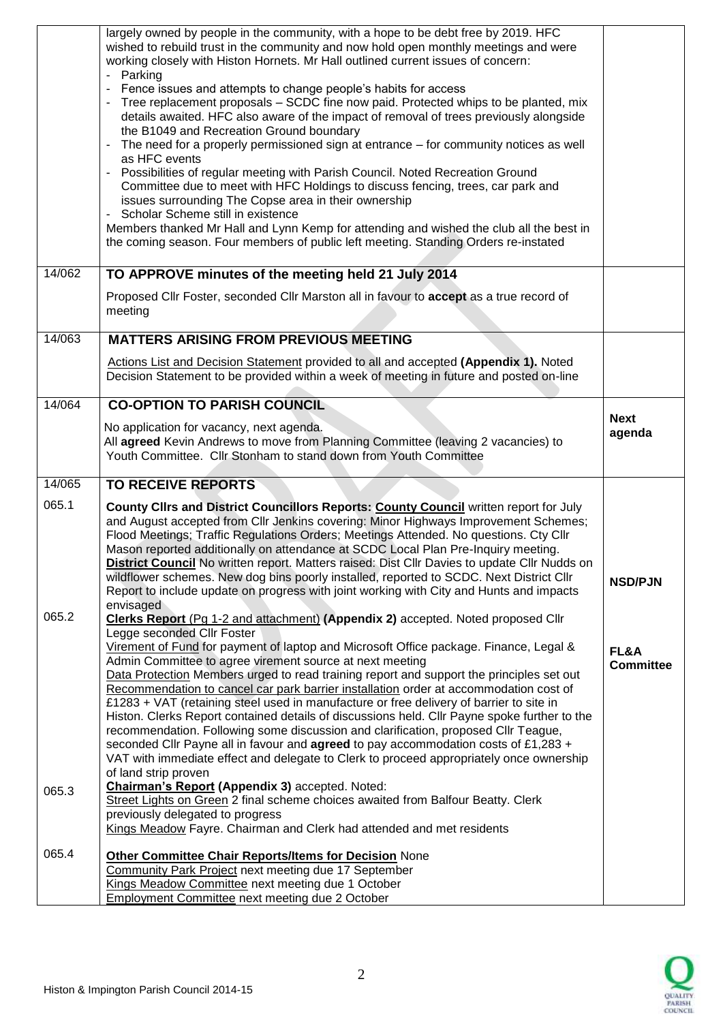|                                              | largely owned by people in the community, with a hope to be debt free by 2019. HFC<br>wished to rebuild trust in the community and now hold open monthly meetings and were<br>working closely with Histon Hornets. Mr Hall outlined current issues of concern:<br>Parking                                                                                                                                                                                                                                                                                                                                                                                                                                                                                                                                                                                                                                                                                                       |                       |  |
|----------------------------------------------|---------------------------------------------------------------------------------------------------------------------------------------------------------------------------------------------------------------------------------------------------------------------------------------------------------------------------------------------------------------------------------------------------------------------------------------------------------------------------------------------------------------------------------------------------------------------------------------------------------------------------------------------------------------------------------------------------------------------------------------------------------------------------------------------------------------------------------------------------------------------------------------------------------------------------------------------------------------------------------|-----------------------|--|
|                                              | Fence issues and attempts to change people's habits for access<br>Tree replacement proposals - SCDC fine now paid. Protected whips to be planted, mix<br>details awaited. HFC also aware of the impact of removal of trees previously alongside<br>the B1049 and Recreation Ground boundary                                                                                                                                                                                                                                                                                                                                                                                                                                                                                                                                                                                                                                                                                     |                       |  |
|                                              | The need for a properly permissioned sign at entrance $-$ for community notices as well<br>as HFC events                                                                                                                                                                                                                                                                                                                                                                                                                                                                                                                                                                                                                                                                                                                                                                                                                                                                        |                       |  |
|                                              | Possibilities of regular meeting with Parish Council. Noted Recreation Ground<br>Committee due to meet with HFC Holdings to discuss fencing, trees, car park and<br>issues surrounding The Copse area in their ownership<br>Scholar Scheme still in existence                                                                                                                                                                                                                                                                                                                                                                                                                                                                                                                                                                                                                                                                                                                   |                       |  |
|                                              | Members thanked Mr Hall and Lynn Kemp for attending and wished the club all the best in<br>the coming season. Four members of public left meeting. Standing Orders re-instated                                                                                                                                                                                                                                                                                                                                                                                                                                                                                                                                                                                                                                                                                                                                                                                                  |                       |  |
| 14/062                                       | TO APPROVE minutes of the meeting held 21 July 2014                                                                                                                                                                                                                                                                                                                                                                                                                                                                                                                                                                                                                                                                                                                                                                                                                                                                                                                             |                       |  |
|                                              | Proposed Cllr Foster, seconded Cllr Marston all in favour to accept as a true record of<br>meeting                                                                                                                                                                                                                                                                                                                                                                                                                                                                                                                                                                                                                                                                                                                                                                                                                                                                              |                       |  |
| 14/063                                       | <b>MATTERS ARISING FROM PREVIOUS MEETING</b>                                                                                                                                                                                                                                                                                                                                                                                                                                                                                                                                                                                                                                                                                                                                                                                                                                                                                                                                    |                       |  |
|                                              | Actions List and Decision Statement provided to all and accepted (Appendix 1). Noted<br>Decision Statement to be provided within a week of meeting in future and posted on-line                                                                                                                                                                                                                                                                                                                                                                                                                                                                                                                                                                                                                                                                                                                                                                                                 |                       |  |
| 14/064<br><b>CO-OPTION TO PARISH COUNCIL</b> |                                                                                                                                                                                                                                                                                                                                                                                                                                                                                                                                                                                                                                                                                                                                                                                                                                                                                                                                                                                 |                       |  |
|                                              | No application for vacancy, next agenda.<br>All agreed Kevin Andrews to move from Planning Committee (leaving 2 vacancies) to<br>Youth Committee. Cllr Stonham to stand down from Youth Committee                                                                                                                                                                                                                                                                                                                                                                                                                                                                                                                                                                                                                                                                                                                                                                               | <b>Next</b><br>agenda |  |
| 14/065                                       | <b>TO RECEIVE REPORTS</b>                                                                                                                                                                                                                                                                                                                                                                                                                                                                                                                                                                                                                                                                                                                                                                                                                                                                                                                                                       |                       |  |
| 065.1                                        | County Clirs and District Councillors Reports: County Council written report for July<br>and August accepted from Cllr Jenkins covering: Minor Highways Improvement Schemes;<br>Flood Meetings; Traffic Regulations Orders; Meetings Attended. No questions. Cty Cllr<br>Mason reported additionally on attendance at SCDC Local Plan Pre-Inquiry meeting.<br>District Council No written report. Matters raised: Dist Cllr Davies to update Cllr Nudds on<br>wildflower schemes. New dog bins poorly installed, reported to SCDC. Next District Cllr<br>Report to include update on progress with joint working with City and Hunts and impacts<br>envisaged                                                                                                                                                                                                                                                                                                                   | <b>NSD/PJN</b>        |  |
| 065.2                                        | Clerks Report (Pg 1-2 and attachment) (Appendix 2) accepted. Noted proposed Cllr<br>Legge seconded Cllr Foster<br>Virement of Fund for payment of laptop and Microsoft Office package. Finance, Legal &<br>FL&A<br>Admin Committee to agree virement source at next meeting<br><b>Committee</b><br>Data Protection Members urged to read training report and support the principles set out<br>Recommendation to cancel car park barrier installation order at accommodation cost of<br>£1283 + VAT (retaining steel used in manufacture or free delivery of barrier to site in<br>Histon. Clerks Report contained details of discussions held. Cllr Payne spoke further to the<br>recommendation. Following some discussion and clarification, proposed Cllr Teague,<br>seconded Cllr Payne all in favour and agreed to pay accommodation costs of £1,283 +<br>VAT with immediate effect and delegate to Clerk to proceed appropriately once ownership<br>of land strip proven |                       |  |
| 065.3                                        | <b>Chairman's Report (Appendix 3) accepted. Noted:</b><br>Street Lights on Green 2 final scheme choices awaited from Balfour Beatty. Clerk<br>previously delegated to progress<br>Kings Meadow Fayre. Chairman and Clerk had attended and met residents                                                                                                                                                                                                                                                                                                                                                                                                                                                                                                                                                                                                                                                                                                                         |                       |  |
| 065.4                                        | <b>Other Committee Chair Reports/Items for Decision None</b>                                                                                                                                                                                                                                                                                                                                                                                                                                                                                                                                                                                                                                                                                                                                                                                                                                                                                                                    |                       |  |
|                                              | Community Park Project next meeting due 17 September<br>Kings Meadow Committee next meeting due 1 October                                                                                                                                                                                                                                                                                                                                                                                                                                                                                                                                                                                                                                                                                                                                                                                                                                                                       |                       |  |
|                                              | <b>Employment Committee next meeting due 2 October</b>                                                                                                                                                                                                                                                                                                                                                                                                                                                                                                                                                                                                                                                                                                                                                                                                                                                                                                                          |                       |  |

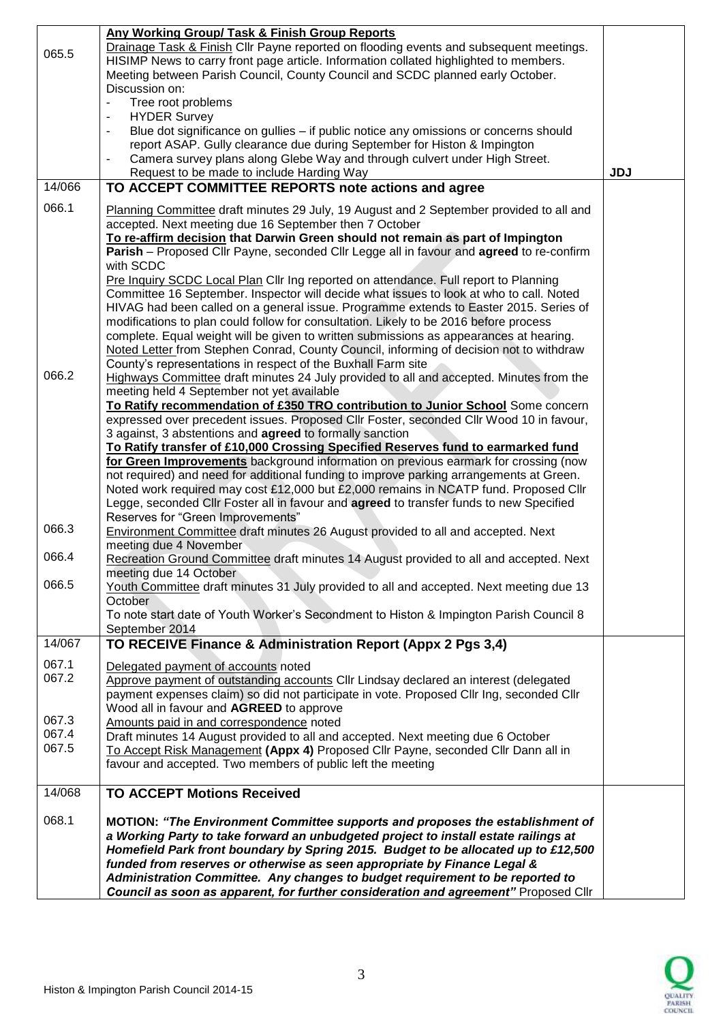|        | Any Working Group/ Task & Finish Group Reports                                                                                                                                  |            |  |
|--------|---------------------------------------------------------------------------------------------------------------------------------------------------------------------------------|------------|--|
| 065.5  | Drainage Task & Finish Cllr Payne reported on flooding events and subsequent meetings.                                                                                          |            |  |
|        | HISIMP News to carry front page article. Information collated highlighted to members.                                                                                           |            |  |
|        | Meeting between Parish Council, County Council and SCDC planned early October.                                                                                                  |            |  |
|        | Discussion on:                                                                                                                                                                  |            |  |
|        | Tree root problems<br>$\blacksquare$                                                                                                                                            |            |  |
|        | <b>HYDER Survey</b><br>$\overline{\phantom{a}}$                                                                                                                                 |            |  |
|        | Blue dot significance on gullies - if public notice any omissions or concerns should<br>$\blacksquare$                                                                          |            |  |
|        | report ASAP. Gully clearance due during September for Histon & Impington                                                                                                        |            |  |
|        | Camera survey plans along Glebe Way and through culvert under High Street.<br>$\qquad \qquad \blacksquare$                                                                      |            |  |
|        | Request to be made to include Harding Way                                                                                                                                       | <b>JDJ</b> |  |
| 14/066 | TO ACCEPT COMMITTEE REPORTS note actions and agree                                                                                                                              |            |  |
| 066.1  |                                                                                                                                                                                 |            |  |
|        | Planning Committee draft minutes 29 July, 19 August and 2 September provided to all and                                                                                         |            |  |
|        | accepted. Next meeting due 16 September then 7 October                                                                                                                          |            |  |
|        | To re-affirm decision that Darwin Green should not remain as part of Impington                                                                                                  |            |  |
|        | Parish - Proposed Cllr Payne, seconded Cllr Legge all in favour and agreed to re-confirm<br>with SCDC                                                                           |            |  |
|        |                                                                                                                                                                                 |            |  |
|        | Pre Inquiry SCDC Local Plan Cllr Ing reported on attendance. Full report to Planning                                                                                            |            |  |
|        | Committee 16 September. Inspector will decide what issues to look at who to call. Noted                                                                                         |            |  |
|        | HIVAG had been called on a general issue. Programme extends to Easter 2015. Series of                                                                                           |            |  |
|        | modifications to plan could follow for consultation. Likely to be 2016 before process<br>complete. Equal weight will be given to written submissions as appearances at hearing. |            |  |
|        | Noted Letter from Stephen Conrad, County Council, informing of decision not to withdraw                                                                                         |            |  |
|        | County's representations in respect of the Buxhall Farm site                                                                                                                    |            |  |
| 066.2  | Highways Committee draft minutes 24 July provided to all and accepted. Minutes from the                                                                                         |            |  |
|        | meeting held 4 September not yet available                                                                                                                                      |            |  |
|        | To Ratify recommendation of £350 TRO contribution to Junior School Some concern                                                                                                 |            |  |
|        | expressed over precedent issues. Proposed Cllr Foster, seconded Cllr Wood 10 in favour,                                                                                         |            |  |
|        | 3 against, 3 abstentions and agreed to formally sanction                                                                                                                        |            |  |
|        | To Ratify transfer of £10,000 Crossing Specified Reserves fund to earmarked fund                                                                                                |            |  |
|        | for Green Improvements background information on previous earmark for crossing (now                                                                                             |            |  |
|        | not required) and need for additional funding to improve parking arrangements at Green.                                                                                         |            |  |
|        | Noted work required may cost £12,000 but £2,000 remains in NCATP fund. Proposed Cllr                                                                                            |            |  |
|        | Legge, seconded Cllr Foster all in favour and agreed to transfer funds to new Specified                                                                                         |            |  |
|        | Reserves for "Green Improvements"                                                                                                                                               |            |  |
| 066.3  | Environment Committee draft minutes 26 August provided to all and accepted. Next                                                                                                |            |  |
|        | meeting due 4 November                                                                                                                                                          |            |  |
| 066.4  | Recreation Ground Committee draft minutes 14 August provided to all and accepted. Next                                                                                          |            |  |
|        | meeting due 14 October                                                                                                                                                          |            |  |
| 066.5  | Youth Committee draft minutes 31 July provided to all and accepted. Next meeting due 13                                                                                         |            |  |
|        | October                                                                                                                                                                         |            |  |
|        | To note start date of Youth Worker's Secondment to Histon & Impington Parish Council 8                                                                                          |            |  |
|        | September 2014                                                                                                                                                                  |            |  |
| 14/067 | TO RECEIVE Finance & Administration Report (Appx 2 Pgs 3,4)                                                                                                                     |            |  |
| 067.1  | Delegated payment of accounts noted                                                                                                                                             |            |  |
| 067.2  | Approve payment of outstanding accounts CIIr Lindsay declared an interest (delegated                                                                                            |            |  |
|        | payment expenses claim) so did not participate in vote. Proposed Cllr Ing, seconded Cllr                                                                                        |            |  |
|        | Wood all in favour and AGREED to approve                                                                                                                                        |            |  |
| 067.3  | Amounts paid in and correspondence noted                                                                                                                                        |            |  |
| 067.4  | Draft minutes 14 August provided to all and accepted. Next meeting due 6 October                                                                                                |            |  |
| 067.5  | To Accept Risk Management (Appx 4) Proposed Cllr Payne, seconded Cllr Dann all in                                                                                               |            |  |
|        | favour and accepted. Two members of public left the meeting                                                                                                                     |            |  |
|        |                                                                                                                                                                                 |            |  |
| 14/068 | <b>TO ACCEPT Motions Received</b>                                                                                                                                               |            |  |
|        |                                                                                                                                                                                 |            |  |
| 068.1  | MOTION: "The Environment Committee supports and proposes the establishment of                                                                                                   |            |  |
|        | a Working Party to take forward an unbudgeted project to install estate railings at                                                                                             |            |  |
|        | Homefield Park front boundary by Spring 2015. Budget to be allocated up to £12,500                                                                                              |            |  |
|        | funded from reserves or otherwise as seen appropriate by Finance Legal &                                                                                                        |            |  |
|        | Administration Committee. Any changes to budget requirement to be reported to                                                                                                   |            |  |
|        | Council as soon as apparent, for further consideration and agreement" Proposed Cllr                                                                                             |            |  |

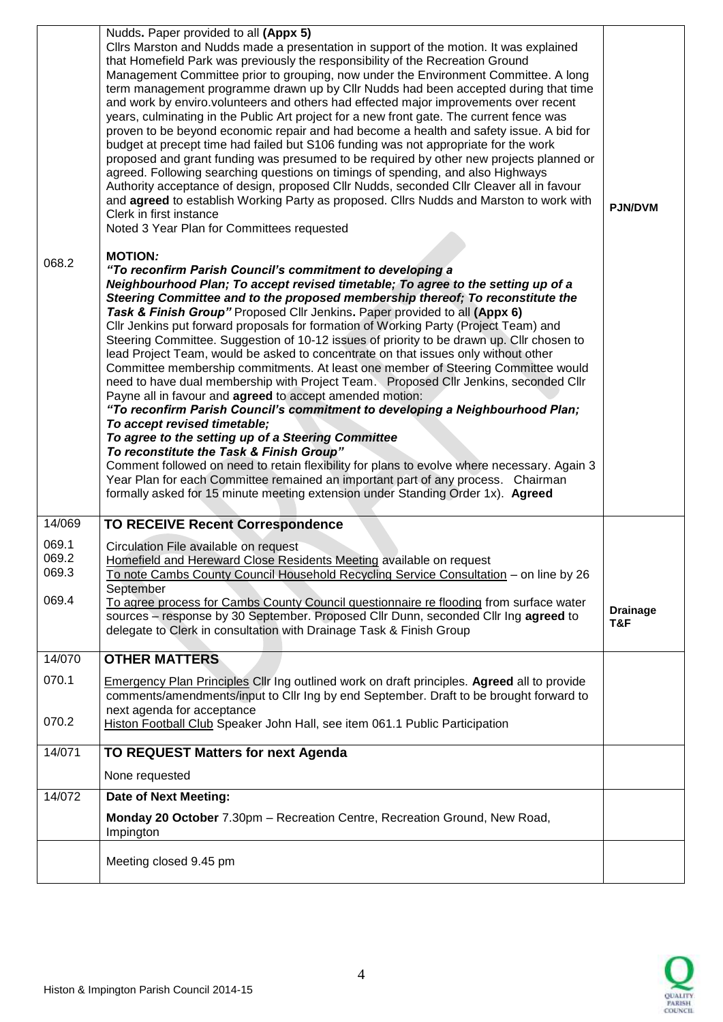| 068.2          | Nudds. Paper provided to all (Appx 5)<br>Cllrs Marston and Nudds made a presentation in support of the motion. It was explained<br>that Homefield Park was previously the responsibility of the Recreation Ground<br>Management Committee prior to grouping, now under the Environment Committee. A long<br>term management programme drawn up by Cllr Nudds had been accepted during that time<br>and work by enviro.volunteers and others had effected major improvements over recent<br>years, culminating in the Public Art project for a new front gate. The current fence was<br>proven to be beyond economic repair and had become a health and safety issue. A bid for<br>budget at precept time had failed but S106 funding was not appropriate for the work<br>proposed and grant funding was presumed to be required by other new projects planned or<br>agreed. Following searching questions on timings of spending, and also Highways<br>Authority acceptance of design, proposed Cllr Nudds, seconded Cllr Cleaver all in favour<br>and agreed to establish Working Party as proposed. Cllrs Nudds and Marston to work with<br>Clerk in first instance<br>Noted 3 Year Plan for Committees requested<br><b>MOTION:</b><br>"To reconfirm Parish Council's commitment to developing a<br>Neighbourhood Plan; To accept revised timetable; To agree to the setting up of a<br>Steering Committee and to the proposed membership thereof; To reconstitute the<br>Task & Finish Group" Proposed Cllr Jenkins. Paper provided to all (Appx 6)<br>CIIr Jenkins put forward proposals for formation of Working Party (Project Team) and<br>Steering Committee. Suggestion of 10-12 issues of priority to be drawn up. Cllr chosen to<br>lead Project Team, would be asked to concentrate on that issues only without other<br>Committee membership commitments. At least one member of Steering Committee would<br>need to have dual membership with Project Team. Proposed Cllr Jenkins, seconded Cllr<br>Payne all in favour and agreed to accept amended motion:<br>"To reconfirm Parish Council's commitment to developing a Neighbourhood Plan;<br>To accept revised timetable:<br>To agree to the setting up of a Steering Committee<br>To reconstitute the Task & Finish Group"<br>Comment followed on need to retain flexibility for plans to evolve where necessary. Again 3<br>Year Plan for each Committee remained an important part of any process. Chairman<br>formally asked for 15 minute meeting extension under Standing Order 1x). Agreed |                        |
|----------------|---------------------------------------------------------------------------------------------------------------------------------------------------------------------------------------------------------------------------------------------------------------------------------------------------------------------------------------------------------------------------------------------------------------------------------------------------------------------------------------------------------------------------------------------------------------------------------------------------------------------------------------------------------------------------------------------------------------------------------------------------------------------------------------------------------------------------------------------------------------------------------------------------------------------------------------------------------------------------------------------------------------------------------------------------------------------------------------------------------------------------------------------------------------------------------------------------------------------------------------------------------------------------------------------------------------------------------------------------------------------------------------------------------------------------------------------------------------------------------------------------------------------------------------------------------------------------------------------------------------------------------------------------------------------------------------------------------------------------------------------------------------------------------------------------------------------------------------------------------------------------------------------------------------------------------------------------------------------------------------------------------------------------------------------------------------------------------------------------------------------------------------------------------------------------------------------------------------------------------------------------------------------------------------------------------------------------------------------------------------------------------------------------------------------------------------------------------------------------------------------------------------------------------------------------------------------|------------------------|
| 14/069         | <b>TO RECEIVE Recent Correspondence</b>                                                                                                                                                                                                                                                                                                                                                                                                                                                                                                                                                                                                                                                                                                                                                                                                                                                                                                                                                                                                                                                                                                                                                                                                                                                                                                                                                                                                                                                                                                                                                                                                                                                                                                                                                                                                                                                                                                                                                                                                                                                                                                                                                                                                                                                                                                                                                                                                                                                                                                                             |                        |
| 069.1<br>069.2 | Circulation File available on request<br>Homefield and Hereward Close Residents Meeting available on request                                                                                                                                                                                                                                                                                                                                                                                                                                                                                                                                                                                                                                                                                                                                                                                                                                                                                                                                                                                                                                                                                                                                                                                                                                                                                                                                                                                                                                                                                                                                                                                                                                                                                                                                                                                                                                                                                                                                                                                                                                                                                                                                                                                                                                                                                                                                                                                                                                                        |                        |
| 069.3          | To note Cambs County Council Household Recycling Service Consultation - on line by 26                                                                                                                                                                                                                                                                                                                                                                                                                                                                                                                                                                                                                                                                                                                                                                                                                                                                                                                                                                                                                                                                                                                                                                                                                                                                                                                                                                                                                                                                                                                                                                                                                                                                                                                                                                                                                                                                                                                                                                                                                                                                                                                                                                                                                                                                                                                                                                                                                                                                               |                        |
| 069.4          | September<br>To agree process for Cambs County Council questionnaire re flooding from surface water<br>sources - response by 30 September. Proposed Cllr Dunn, seconded Cllr Ing agreed to<br>delegate to Clerk in consultation with Drainage Task & Finish Group                                                                                                                                                                                                                                                                                                                                                                                                                                                                                                                                                                                                                                                                                                                                                                                                                                                                                                                                                                                                                                                                                                                                                                                                                                                                                                                                                                                                                                                                                                                                                                                                                                                                                                                                                                                                                                                                                                                                                                                                                                                                                                                                                                                                                                                                                                   | <b>Drainage</b><br>T&F |
| 14/070         | <b>OTHER MATTERS</b>                                                                                                                                                                                                                                                                                                                                                                                                                                                                                                                                                                                                                                                                                                                                                                                                                                                                                                                                                                                                                                                                                                                                                                                                                                                                                                                                                                                                                                                                                                                                                                                                                                                                                                                                                                                                                                                                                                                                                                                                                                                                                                                                                                                                                                                                                                                                                                                                                                                                                                                                                |                        |
| 070.1          | <b>Emergency Plan Principles CIIr Ing outlined work on draft principles. Agreed all to provide</b><br>comments/amendments/input to Cllr Ing by end September. Draft to be brought forward to                                                                                                                                                                                                                                                                                                                                                                                                                                                                                                                                                                                                                                                                                                                                                                                                                                                                                                                                                                                                                                                                                                                                                                                                                                                                                                                                                                                                                                                                                                                                                                                                                                                                                                                                                                                                                                                                                                                                                                                                                                                                                                                                                                                                                                                                                                                                                                        |                        |
| 070.2          | next agenda for acceptance<br>Histon Football Club Speaker John Hall, see item 061.1 Public Participation                                                                                                                                                                                                                                                                                                                                                                                                                                                                                                                                                                                                                                                                                                                                                                                                                                                                                                                                                                                                                                                                                                                                                                                                                                                                                                                                                                                                                                                                                                                                                                                                                                                                                                                                                                                                                                                                                                                                                                                                                                                                                                                                                                                                                                                                                                                                                                                                                                                           |                        |
| 14/071         | <b>TO REQUEST Matters for next Agenda</b>                                                                                                                                                                                                                                                                                                                                                                                                                                                                                                                                                                                                                                                                                                                                                                                                                                                                                                                                                                                                                                                                                                                                                                                                                                                                                                                                                                                                                                                                                                                                                                                                                                                                                                                                                                                                                                                                                                                                                                                                                                                                                                                                                                                                                                                                                                                                                                                                                                                                                                                           |                        |
|                | None requested                                                                                                                                                                                                                                                                                                                                                                                                                                                                                                                                                                                                                                                                                                                                                                                                                                                                                                                                                                                                                                                                                                                                                                                                                                                                                                                                                                                                                                                                                                                                                                                                                                                                                                                                                                                                                                                                                                                                                                                                                                                                                                                                                                                                                                                                                                                                                                                                                                                                                                                                                      |                        |
| 14/072         | <b>Date of Next Meeting:</b>                                                                                                                                                                                                                                                                                                                                                                                                                                                                                                                                                                                                                                                                                                                                                                                                                                                                                                                                                                                                                                                                                                                                                                                                                                                                                                                                                                                                                                                                                                                                                                                                                                                                                                                                                                                                                                                                                                                                                                                                                                                                                                                                                                                                                                                                                                                                                                                                                                                                                                                                        |                        |
|                | Monday 20 October 7.30pm - Recreation Centre, Recreation Ground, New Road,<br>Impington                                                                                                                                                                                                                                                                                                                                                                                                                                                                                                                                                                                                                                                                                                                                                                                                                                                                                                                                                                                                                                                                                                                                                                                                                                                                                                                                                                                                                                                                                                                                                                                                                                                                                                                                                                                                                                                                                                                                                                                                                                                                                                                                                                                                                                                                                                                                                                                                                                                                             |                        |
|                | Meeting closed 9.45 pm                                                                                                                                                                                                                                                                                                                                                                                                                                                                                                                                                                                                                                                                                                                                                                                                                                                                                                                                                                                                                                                                                                                                                                                                                                                                                                                                                                                                                                                                                                                                                                                                                                                                                                                                                                                                                                                                                                                                                                                                                                                                                                                                                                                                                                                                                                                                                                                                                                                                                                                                              |                        |

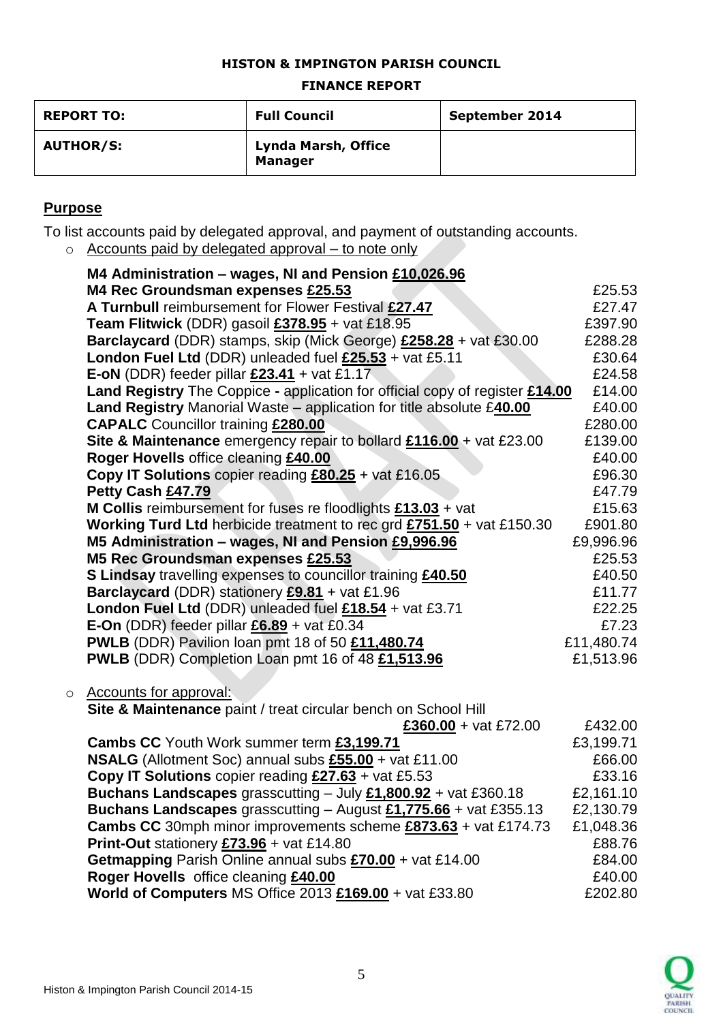## **HISTON & IMPINGTON PARISH COUNCIL**

### **FINANCE REPORT**

| <b>REPORT TO:</b> | <b>Full Council</b>                   | September 2014 |
|-------------------|---------------------------------------|----------------|
| <b>AUTHOR/S:</b>  | Lynda Marsh, Office<br><b>Manager</b> |                |

## **Purpose**

To list accounts paid by delegated approval, and payment of outstanding accounts.

 $\circ$  Accounts paid by delegated approval – to note only

|         | M4 Administration – wages, NI and Pension £10,026.96                                   |            |
|---------|----------------------------------------------------------------------------------------|------------|
|         | M4 Rec Groundsman expenses £25.53                                                      | £25.53     |
|         | A Turnbull reimbursement for Flower Festival £27.47                                    | £27.47     |
|         | Team Flitwick (DDR) gasoil £378.95 + vat £18.95                                        | £397.90    |
|         | Barclaycard (DDR) stamps, skip (Mick George) £258.28 + vat £30.00                      | £288.28    |
|         | London Fuel Ltd (DDR) unleaded fuel £25.53 + vat £5.11                                 | £30.64     |
|         | E-oN (DDR) feeder pillar $£23.41 +$ vat £1.17                                          | £24.58     |
|         | Land Registry The Coppice - application for official copy of register £14.00           | £14.00     |
|         | Land Registry Manorial Waste - application for title absolute £40.00                   | £40.00     |
|         | <b>CAPALC</b> Councillor training £280.00                                              | £280.00    |
|         | Site & Maintenance emergency repair to bollard £116.00 + vat £23.00                    | £139.00    |
|         | Roger Hovells office cleaning £40.00                                                   | £40.00     |
|         | Copy IT Solutions copier reading $£80.25 + \text{vat } £16.05$                         | £96.30     |
|         | Petty Cash £47.79                                                                      | £47.79     |
|         | <b>M Collis</b> reimbursement for fuses re floodlights $£13.03 + ∇$                    | £15.63     |
|         | <b>Working Turd Ltd</b> herbicide treatment to rec grd $£751.50 + \text{vat } £150.30$ | £901.80    |
|         | M5 Administration - wages, NI and Pension £9,996.96                                    | £9,996.96  |
|         | M5 Rec Groundsman expenses £25.53                                                      | £25.53     |
|         | <b>S Lindsay travelling expenses to councillor training £40.50</b>                     | £40.50     |
|         | Barclaycard (DDR) stationery £9.81 + vat £1.96                                         | £11.77     |
|         | London Fuel Ltd (DDR) unleaded fuel £18.54 + vat £3.71                                 | £22.25     |
|         | <b>E-On</b> (DDR) feeder pillar $£6.89 +$ vat £0.34                                    | £7.23      |
|         | PWLB (DDR) Pavilion loan pmt 18 of 50 £11,480.74                                       | £11,480.74 |
|         | PWLB (DDR) Completion Loan pmt 16 of 48 £1,513.96                                      | £1,513.96  |
|         |                                                                                        |            |
| $\circ$ | <b>Accounts for approval:</b>                                                          |            |
|         | Site & Maintenance paint / treat circular bench on School Hill                         |            |
|         | £360.00 + vat £72.00                                                                   | £432.00    |
|         | Cambs CC Youth Work summer term £3,199.71                                              | £3,199.71  |
|         | <b>NSALG</b> (Allotment Soc) annual subs £55.00 + vat £11.00                           | £66.00     |
|         | <b>Copy IT Solutions</b> copier reading $£27.63 + \text{vat } £5.53$                   | £33.16     |
|         | Buchans Landscapes grasscutting $-$ July $£1,800.92 +$ vat £360.18                     | £2,161.10  |
|         | <b>Buchans Landscapes</b> grasscutting $-$ August £1,775.66 + vat £355.13              | £2,130.79  |
|         | Cambs CC 30mph minor improvements scheme £873.63 + vat £174.73                         | £1,048.36  |
|         | Print-Out stationery £73.96 + vat £14.80                                               | £88.76     |
|         | Getmapping Parish Online annual subs £70.00 + vat £14.00                               | £84.00     |
|         | Roger Hovells office cleaning £40.00                                                   | £40.00     |
|         | World of Computers MS Office 2013 £169.00 + vat £33.80                                 | £202.80    |